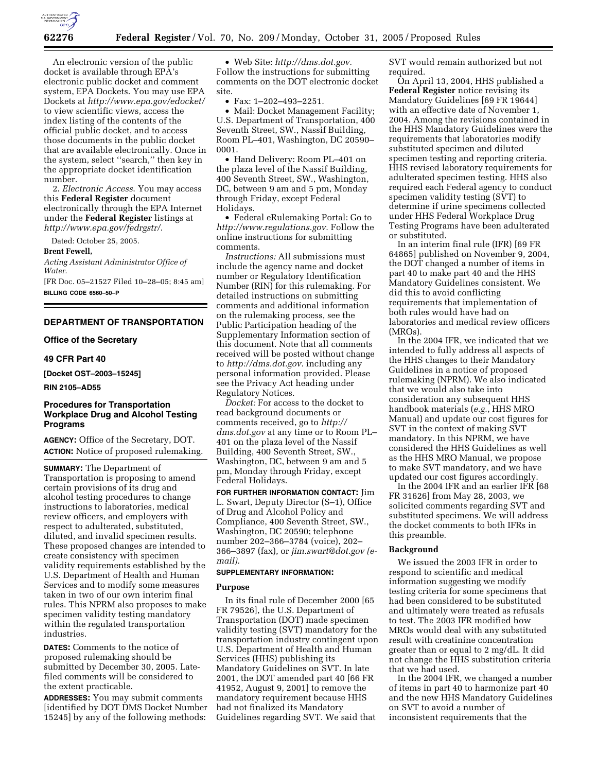

An electronic version of the public docket is available through EPA's electronic public docket and comment system, EPA Dockets. You may use EPA Dockets at *http://www.epa.gov/edocket/*  to view scientific views, access the index listing of the contents of the official public docket, and to access those documents in the public docket that are available electronically. Once in the system, select ''search,'' then key in the appropriate docket identification number.

2. *Electronic Access*. You may access this **Federal Register** document electronically through the EPA Internet under the **Federal Register** listings at *http://www.epa.gov/fedrgstr/*.

Dated: October 25, 2005.

#### **Brent Fewell,**

*Acting Assistant Administrator Office of Water.* 

[FR Doc. 05–21527 Filed 10–28–05; 8:45 am] **BILLING CODE 6560–50–P** 

# **DEPARTMENT OF TRANSPORTATION**

# **Office of the Secretary**

## **49 CFR Part 40**

**[Docket OST–2003–15245]** 

## **RIN 2105–AD55**

# **Procedures for Transportation Workplace Drug and Alcohol Testing Programs**

**AGENCY:** Office of the Secretary, DOT. **ACTION:** Notice of proposed rulemaking.

**SUMMARY:** The Department of Transportation is proposing to amend certain provisions of its drug and alcohol testing procedures to change instructions to laboratories, medical review officers, and employers with respect to adulterated, substituted, diluted, and invalid specimen results. These proposed changes are intended to create consistency with specimen validity requirements established by the U.S. Department of Health and Human Services and to modify some measures taken in two of our own interim final rules. This NPRM also proposes to make specimen validity testing mandatory within the regulated transportation industries.

**DATES:** Comments to the notice of proposed rulemaking should be submitted by December 30, 2005. Latefiled comments will be considered to the extent practicable.

**ADDRESSES:** You may submit comments [identified by DOT DMS Docket Number 15245] by any of the following methods:

• Web Site: *http://dms.dot.gov.*  Follow the instructions for submitting comments on the DOT electronic docket site.

• Fax: 1–202–493–2251.

• Mail: Docket Management Facility; U.S. Department of Transportation, 400 Seventh Street, SW., Nassif Building, Room PL–401, Washington, DC 20590– 0001.

• Hand Delivery: Room PL–401 on the plaza level of the Nassif Building, 400 Seventh Street, SW., Washington, DC, between 9 am and 5 pm, Monday through Friday, except Federal Holidays.

• Federal eRulemaking Portal: Go to *http://www.regulations.gov.* Follow the online instructions for submitting comments.

*Instructions:* All submissions must include the agency name and docket number or Regulatory Identification Number (RIN) for this rulemaking. For detailed instructions on submitting comments and additional information on the rulemaking process, see the Public Participation heading of the Supplementary Information section of this document. Note that all comments received will be posted without change to *http://dms.dot.gov.* including any personal information provided. Please see the Privacy Act heading under Regulatory Notices.

*Docket:* For access to the docket to read background documents or comments received, go to *http:// dms.dot.gov* at any time or to Room PL– 401 on the plaza level of the Nassif Building, 400 Seventh Street, SW., Washington, DC, between 9 am and 5 pm, Monday through Friday, except Federal Holidays.

**FOR FURTHER INFORMATION CONTACT:** Jim L. Swart, Deputy Director (S–1), Office of Drug and Alcohol Policy and Compliance, 400 Seventh Street, SW., Washington, DC 20590; telephone number 202–366–3784 (voice), 202– 366–3897 (fax), or *jim.swart@dot.gov (email).* 

## **SUPPLEMENTARY INFORMATION:**

#### **Purpose**

In its final rule of December 2000 [65 FR 79526], the U.S. Department of Transportation (DOT) made specimen validity testing (SVT) mandatory for the transportation industry contingent upon U.S. Department of Health and Human Services (HHS) publishing its Mandatory Guidelines on SVT. In late 2001, the DOT amended part 40 [66 FR 41952, August 9, 2001] to remove the mandatory requirement because HHS had not finalized its Mandatory Guidelines regarding SVT. We said that

SVT would remain authorized but not required.

On April 13, 2004, HHS published a **Federal Register** notice revising its Mandatory Guidelines [69 FR 19644] with an effective date of November 1, 2004. Among the revisions contained in the HHS Mandatory Guidelines were the requirements that laboratories modify substituted specimen and diluted specimen testing and reporting criteria. HHS revised laboratory requirements for adulterated specimen testing. HHS also required each Federal agency to conduct specimen validity testing (SVT) to determine if urine specimens collected under HHS Federal Workplace Drug Testing Programs have been adulterated or substituted.

In an interim final rule (IFR) [69 FR 64865] published on November 9, 2004, the DOT changed a number of items in part 40 to make part 40 and the HHS Mandatory Guidelines consistent. We did this to avoid conflicting requirements that implementation of both rules would have had on laboratories and medical review officers (MROs).

In the 2004 IFR, we indicated that we intended to fully address all aspects of the HHS changes to their Mandatory Guidelines in a notice of proposed rulemaking (NPRM). We also indicated that we would also take into consideration any subsequent HHS handbook materials (*e.g.*, HHS MRO Manual) and update our cost figures for SVT in the context of making SVT mandatory. In this NPRM, we have considered the HHS Guidelines as well as the HHS MRO Manual, we propose to make SVT mandatory, and we have updated our cost figures accordingly.

In the 2004 IFR and an earlier IFR [68 FR 31626] from May 28, 2003, we solicited comments regarding SVT and substituted specimens. We will address the docket comments to both IFRs in this preamble.

#### **Background**

We issued the 2003 IFR in order to respond to scientific and medical information suggesting we modify testing criteria for some specimens that had been considered to be substituted and ultimately were treated as refusals to test. The 2003 IFR modified how MROs would deal with any substituted result with creatinine concentration greater than or equal to 2 mg/dL. It did not change the HHS substitution criteria that we had used.

In the 2004 IFR, we changed a number of items in part 40 to harmonize part 40 and the new HHS Mandatory Guidelines on SVT to avoid a number of inconsistent requirements that the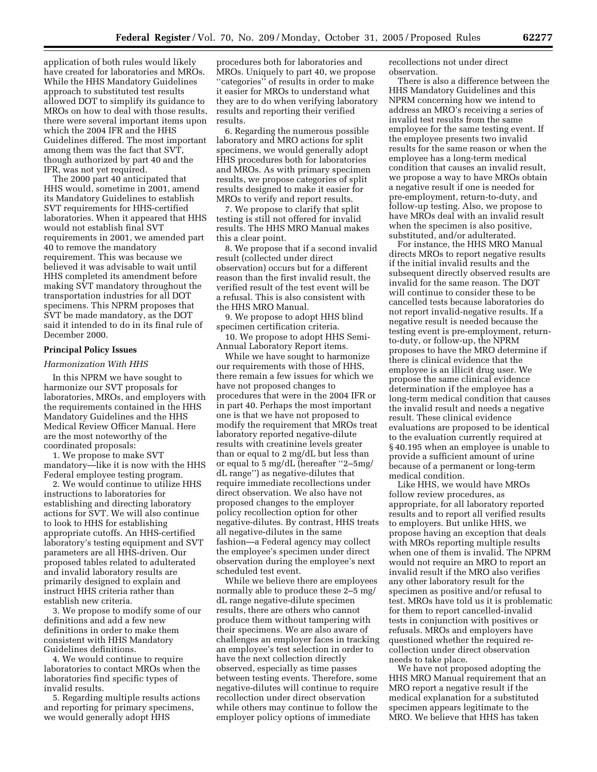application of both rules would likely have created for laboratories and MROs. While the HHS Mandatory Guidelines approach to substituted test results allowed DOT to simplify its guidance to MROs on how to deal with those results, there were several important items upon which the 2004 IFR and the HHS Guidelines differed. The most important among them was the fact that SVT, though authorized by part 40 and the IFR, was not yet required.

The 2000 part 40 anticipated that HHS would, sometime in 2001, amend its Mandatory Guidelines to establish SVT requirements for HHS-certified laboratories. When it appeared that HHS would not establish final SVT requirements in 2001, we amended part 40 to remove the mandatory requirement. This was because we believed it was advisable to wait until HHS completed its amendment before making SVT mandatory throughout the transportation industries for all DOT specimens. This NPRM proposes that SVT be made mandatory, as the DOT said it intended to do in its final rule of December 2000.

## **Principal Policy Issues**

### *Harmonization With HHS*

In this NPRM we have sought to harmonize our SVT proposals for laboratories, MROs, and employers with the requirements contained in the HHS Mandatory Guidelines and the HHS Medical Review Officer Manual. Here are the most noteworthy of the coordinated proposals:

1. We propose to make SVT mandatory—like it is now with the HHS Federal employee testing program.

2. We would continue to utilize HHS instructions to laboratories for establishing and directing laboratory actions for SVT. We will also continue to look to HHS for establishing appropriate cutoffs. An HHS-certified laboratory's testing equipment and SVT parameters are all HHS-driven. Our proposed tables related to adulterated and invalid laboratory results are primarily designed to explain and instruct HHS criteria rather than establish new criteria.

3. We propose to modify some of our definitions and add a few new definitions in order to make them consistent with HHS Mandatory Guidelines definitions.

4. We would continue to require laboratories to contact MROs when the laboratories find specific types of invalid results.

5. Regarding multiple results actions and reporting for primary specimens, we would generally adopt HHS

procedures both for laboratories and MROs. Uniquely to part 40, we propose ''categories'' of results in order to make it easier for MROs to understand what they are to do when verifying laboratory results and reporting their verified results.

6. Regarding the numerous possible laboratory and MRO actions for split specimens, we would generally adopt HHS procedures both for laboratories and MROs. As with primary specimen results, we propose categories of split results designed to make it easier for MROs to verify and report results.

7. We propose to clarify that split testing is still not offered for invalid results. The HHS MRO Manual makes this a clear point.

8. We propose that if a second invalid result (collected under direct observation) occurs but for a different reason than the first invalid result, the verified result of the test event will be a refusal. This is also consistent with the HHS MRO Manual.

9. We propose to adopt HHS blind specimen certification criteria.

10. We propose to adopt HHS Semi-Annual Laboratory Report items.

While we have sought to harmonize our requirements with those of HHS, there remain a few issues for which we have not proposed changes to procedures that were in the 2004 IFR or in part 40. Perhaps the most important one is that we have not proposed to modify the requirement that MROs treat laboratory reported negative-dilute results with creatinine levels greater than or equal to 2 mg/dL but less than or equal to 5 mg/dL (hereafter ''2–5mg/ dL range'') as negative-dilutes that require immediate recollections under direct observation. We also have not proposed changes to the employer policy recollection option for other negative-dilutes. By contrast, HHS treats all negative-dilutes in the same fashion—a Federal agency may collect the employee's specimen under direct observation during the employee's next scheduled test event.

While we believe there are employees normally able to produce these 2–5 mg/ dL range negative-dilute specimen results, there are others who cannot produce them without tampering with their specimens. We are also aware of challenges an employer faces in tracking an employee's test selection in order to have the next collection directly observed, especially as time passes between testing events. Therefore, some negative-dilutes will continue to require recollection under direct observation while others may continue to follow the employer policy options of immediate

recollections not under direct observation.

There is also a difference between the HHS Mandatory Guidelines and this NPRM concerning how we intend to address an MRO's receiving a series of invalid test results from the same employee for the same testing event. If the employee presents two invalid results for the same reason or when the employee has a long-term medical condition that causes an invalid result, we propose a way to have MROs obtain a negative result if one is needed for pre-employment, return-to-duty, and follow-up testing. Also, we propose to have MROs deal with an invalid result when the specimen is also positive, substituted, and/or adulterated.

For instance, the HHS MRO Manual directs MROs to report negative results if the initial invalid results and the subsequent directly observed results are invalid for the same reason. The DOT will continue to consider these to be cancelled tests because laboratories do not report invalid-negative results. If a negative result is needed because the testing event is pre-employment, returnto-duty, or follow-up, the NPRM proposes to have the MRO determine if there is clinical evidence that the employee is an illicit drug user. We propose the same clinical evidence determination if the employee has a long-term medical condition that causes the invalid result and needs a negative result. These clinical evidence evaluations are proposed to be identical to the evaluation currently required at § 40.195 when an employee is unable to provide a sufficient amount of urine because of a permanent or long-term medical condition.

Like HHS, we would have MROs follow review procedures, as appropriate, for all laboratory reported results and to report all verified results to employers. But unlike HHS, we propose having an exception that deals with MROs reporting multiple results when one of them is invalid. The NPRM would not require an MRO to report an invalid result if the MRO also verifies any other laboratory result for the specimen as positive and/or refusal to test. MROs have told us it is problematic for them to report cancelled-invalid tests in conjunction with positives or refusals. MROs and employers have questioned whether the required recollection under direct observation needs to take place.

We have not proposed adopting the HHS MRO Manual requirement that an MRO report a negative result if the medical explanation for a substituted specimen appears legitimate to the MRO. We believe that HHS has taken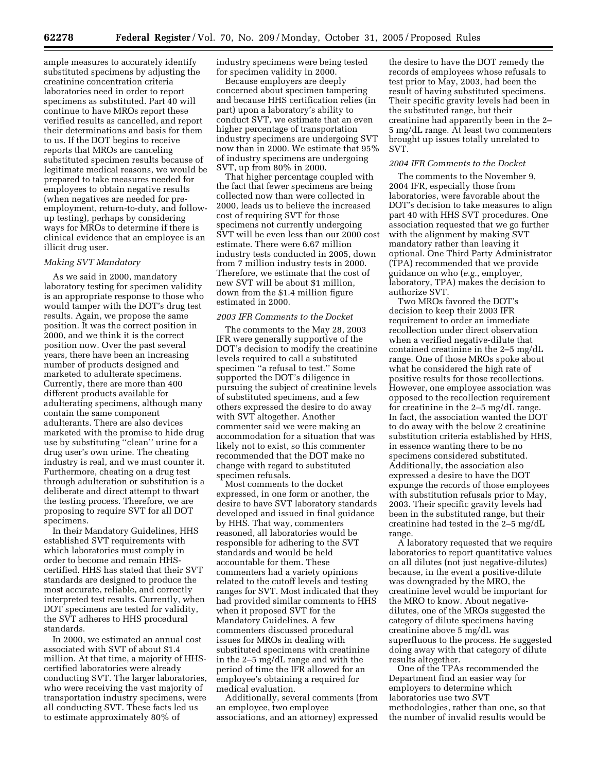ample measures to accurately identify substituted specimens by adjusting the creatinine concentration criteria laboratories need in order to report specimens as substituted. Part 40 will continue to have MROs report these verified results as cancelled, and report their determinations and basis for them to us. If the DOT begins to receive reports that MROs are canceling substituted specimen results because of legitimate medical reasons, we would be prepared to take measures needed for employees to obtain negative results (when negatives are needed for preemployment, return-to-duty, and followup testing), perhaps by considering ways for MROs to determine if there is clinical evidence that an employee is an illicit drug user.

## *Making SVT Mandatory*

As we said in 2000, mandatory laboratory testing for specimen validity is an appropriate response to those who would tamper with the DOT's drug test results. Again, we propose the same position. It was the correct position in 2000, and we think it is the correct position now. Over the past several years, there have been an increasing number of products designed and marketed to adulterate specimens. Currently, there are more than 400 different products available for adulterating specimens, although many contain the same component adulterants. There are also devices marketed with the promise to hide drug use by substituting ''clean'' urine for a drug user's own urine. The cheating industry is real, and we must counter it. Furthermore, cheating on a drug test through adulteration or substitution is a deliberate and direct attempt to thwart the testing process. Therefore, we are proposing to require SVT for all DOT specimens.

In their Mandatory Guidelines, HHS established SVT requirements with which laboratories must comply in order to become and remain HHScertified. HHS has stated that their SVT standards are designed to produce the most accurate, reliable, and correctly interpreted test results. Currently, when DOT specimens are tested for validity, the SVT adheres to HHS procedural standards.

In 2000, we estimated an annual cost associated with SVT of about \$1.4 million. At that time, a majority of HHScertified laboratories were already conducting SVT. The larger laboratories, who were receiving the vast majority of transportation industry specimens, were all conducting SVT. These facts led us to estimate approximately 80% of

industry specimens were being tested for specimen validity in 2000.

Because employers are deeply concerned about specimen tampering and because HHS certification relies (in part) upon a laboratory's ability to conduct SVT, we estimate that an even higher percentage of transportation industry specimens are undergoing SVT now than in 2000. We estimate that 95% of industry specimens are undergoing SVT, up from 80% in 2000.

That higher percentage coupled with the fact that fewer specimens are being collected now than were collected in 2000, leads us to believe the increased cost of requiring SVT for those specimens not currently undergoing SVT will be even less than our 2000 cost estimate. There were 6.67 million industry tests conducted in 2005, down from 7 million industry tests in 2000. Therefore, we estimate that the cost of new SVT will be about \$1 million, down from the \$1.4 million figure estimated in 2000.

#### *2003 IFR Comments to the Docket*

The comments to the May 28, 2003 IFR were generally supportive of the DOT's decision to modify the creatinine levels required to call a substituted specimen ''a refusal to test.'' Some supported the DOT's diligence in pursuing the subject of creatinine levels of substituted specimens, and a few others expressed the desire to do away with SVT altogether. Another commenter said we were making an accommodation for a situation that was likely not to exist, so this commenter recommended that the DOT make no change with regard to substituted specimen refusals.

Most comments to the docket expressed, in one form or another, the desire to have SVT laboratory standards developed and issued in final guidance by HHS. That way, commenters reasoned, all laboratories would be responsible for adhering to the SVT standards and would be held accountable for them. These commenters had a variety opinions related to the cutoff levels and testing ranges for SVT. Most indicated that they had provided similar comments to HHS when it proposed SVT for the Mandatory Guidelines. A few commenters discussed procedural issues for MROs in dealing with substituted specimens with creatinine in the 2–5 mg/dL range and with the period of time the IFR allowed for an employee's obtaining a required for medical evaluation.

Additionally, several comments (from an employee, two employee associations, and an attorney) expressed

the desire to have the DOT remedy the records of employees whose refusals to test prior to May, 2003, had been the result of having substituted specimens. Their specific gravity levels had been in the substituted range, but their creatinine had apparently been in the 2– 5 mg/dL range. At least two commenters brought up issues totally unrelated to SVT.

#### *2004 IFR Comments to the Docket*

The comments to the November 9, 2004 IFR, especially those from laboratories, were favorable about the DOT's decision to take measures to align part 40 with HHS SVT procedures. One association requested that we go further with the alignment by making SVT mandatory rather than leaving it optional. One Third Party Administrator (TPA) recommended that we provide guidance on who (*e.g.*, employer, laboratory, TPA) makes the decision to authorize SVT.

Two MROs favored the DOT's decision to keep their 2003 IFR requirement to order an immediate recollection under direct observation when a verified negative-dilute that contained creatinine in the 2–5 mg/dL range. One of those MROs spoke about what he considered the high rate of positive results for those recollections. However, one employee association was opposed to the recollection requirement for creatinine in the 2–5 mg/dL range. In fact, the association wanted the DOT to do away with the below 2 creatinine substitution criteria established by HHS, in essence wanting there to be no specimens considered substituted. Additionally, the association also expressed a desire to have the DOT expunge the records of those employees with substitution refusals prior to May, 2003. Their specific gravity levels had been in the substituted range, but their creatinine had tested in the 2–5 mg/dL range.

A laboratory requested that we require laboratories to report quantitative values on all dilutes (not just negative-dilutes) because, in the event a positive-dilute was downgraded by the MRO, the creatinine level would be important for the MRO to know. About negativedilutes, one of the MROs suggested the category of dilute specimens having creatinine above 5 mg/dL was superfluous to the process. He suggested doing away with that category of dilute results altogether.

One of the TPAs recommended the Department find an easier way for employers to determine which laboratories use two SVT methodologies, rather than one, so that the number of invalid results would be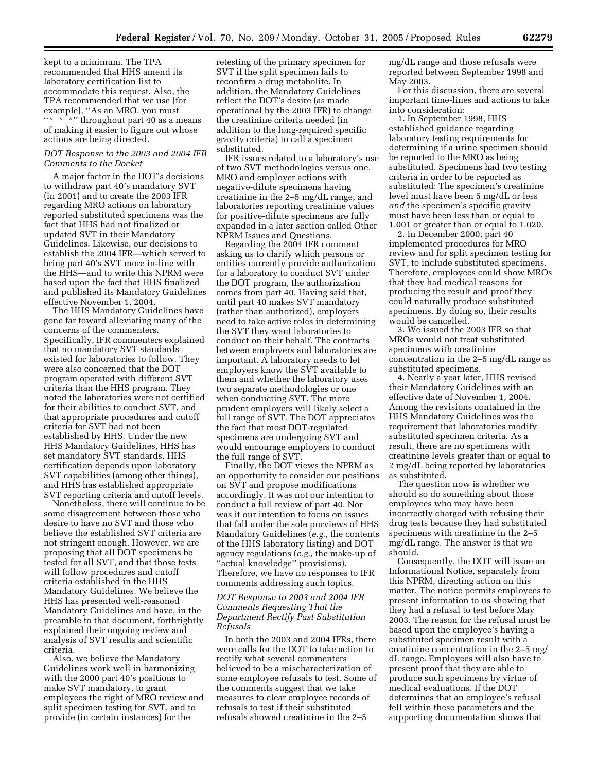kept to a minimum. The TPA recommended that HHS amend its laboratory certification list to accommodate this request. Also, the TPA recommended that we use [for example], ''As an MRO, you must "\* \* \*"' throughout part 40 as a means of making it easier to figure out whose actions are being directed.

# *DOT Response to the 2003 and 2004 IFR Comments to the Docket*

A major factor in the DOT's decisions to withdraw part 40's mandatory SVT (in 2001) and to create the 2003 IFR regarding MRO actions on laboratory reported substituted specimens was the fact that HHS had not finalized or updated SVT in their Mandatory Guidelines. Likewise, our decisions to establish the 2004 IFR—which served to bring part 40's SVT more in-line with the HHS—and to write this NPRM were based upon the fact that HHS finalized and published its Mandatory Guidelines effective November 1, 2004.

The HHS Mandatory Guidelines have gone far toward alleviating many of the concerns of the commenters. Specifically, IFR commenters explained that no mandatory SVT standards existed for laboratories to follow. They were also concerned that the DOT program operated with different SVT criteria than the HHS program. They noted the laboratories were not certified for their abilities to conduct SVT, and that appropriate procedures and cutoff criteria for SVT had not been established by HHS. Under the new HHS Mandatory Guidelines, HHS has set mandatory SVT standards. HHS certification depends upon laboratory SVT capabilities (among other things), and HHS has established appropriate SVT reporting criteria and cutoff levels.

Nonetheless, there will continue to be some disagreement between those who desire to have no SVT and those who believe the established SVT criteria are not stringent enough. However, we are proposing that all DOT specimens be tested for all SVT, and that those tests will follow procedures and cutoff criteria established in the HHS Mandatory Guidelines. We believe the HHS has presented well-reasoned Mandatory Guidelines and have, in the preamble to that document, forthrightly explained their ongoing review and analysis of SVT results and scientific criteria.

Also, we believe the Mandatory Guidelines work well in harmonizing with the 2000 part 40's positions to make SVT mandatory, to grant employees the right of MRO review and split specimen testing for SVT, and to provide (in certain instances) for the

retesting of the primary specimen for SVT if the split specimen fails to reconfirm a drug metabolite. In addition, the Mandatory Guidelines reflect the DOT's desire (as made operational by the 2003 IFR) to change the creatinine criteria needed (in addition to the long-required specific gravity criteria) to call a specimen substituted.

IFR issues related to a laboratory's use of two SVT methodologies versus one, MRO and employer actions with negative-dilute specimens having creatinine in the 2–5 mg/dL range, and laboratories reporting creatinine values for positive-dilute specimens are fully expanded in a later section called Other NPRM Issues and Questions.

Regarding the 2004 IFR comment asking us to clarify which persons or entities currently provide authorization for a laboratory to conduct SVT under the DOT program, the authorization comes from part 40. Having said that, until part 40 makes SVT mandatory (rather than authorized), employers need to take active roles in determining the SVT they want laboratories to conduct on their behalf. The contracts between employers and laboratories are important. A laboratory needs to let employers know the SVT available to them and whether the laboratory uses two separate methodologies or one when conducting SVT. The more prudent employers will likely select a full range of SVT. The DOT appreciates the fact that most DOT-regulated specimens are undergoing SVT and would encourage employers to conduct the full range of SVT.

Finally, the DOT views the NPRM as an opportunity to consider our positions on SVT and propose modifications accordingly. It was not our intention to conduct a full review of part 40. Nor was it our intention to focus on issues that fall under the sole purviews of HHS Mandatory Guidelines (*e.g.*, the contents of the HHS laboratory listing) and DOT agency regulations (*e.g.*, the make-up of ''actual knowledge'' provisions). Therefore, we have no responses to IFR comments addressing such topics.

# *DOT Response to 2003 and 2004 IFR Comments Requesting That the Department Rectify Past Substitution Refusals*

In both the 2003 and 2004 IFRs, there were calls for the DOT to take action to rectify what several commenters believed to be a mischaracterization of some employee refusals to test. Some of the comments suggest that we take measures to clear employee records of refusals to test if their substituted refusals showed creatinine in the 2–5

mg/dL range and those refusals were reported between September 1998 and May 2003.

For this discussion, there are several important time-lines and actions to take into consideration:

1. In September 1998, HHS established guidance regarding laboratory testing requirements for determining if a urine specimen should be reported to the MRO as being substituted. Specimens had two testing criteria in order to be reported as substituted: The specimen's creatinine level must have been 5 mg/dL or less *and* the specimen's specific gravity must have been less than or equal to 1.001 or greater than or equal to 1.020.

2. In December 2000, part 40 implemented procedures for MRO review and for split specimen testing for SVT, to include substituted specimens. Therefore, employees could show MROs that they had medical reasons for producing the result and proof they could naturally produce substituted specimens. By doing so, their results would be cancelled.

3. We issued the 2003 IFR so that MROs would not treat substituted specimens with creatinine concentration in the 2–5 mg/dL range as substituted specimens.

4. Nearly a year later, HHS revised their Mandatory Guidelines with an effective date of November 1, 2004. Among the revisions contained in the HHS Mandatory Guidelines was the requirement that laboratories modify substituted specimen criteria. As a result, there are no specimens with creatinine levels greater than or equal to 2 mg/dL being reported by laboratories as substituted.

The question now is whether we should so do something about those employees who may have been incorrectly charged with refusing their drug tests because they had substituted specimens with creatinine in the 2–5 mg/dL range. The answer is that we should.

Consequently, the DOT will issue an Informational Notice, separately from this NPRM, directing action on this matter. The notice permits employees to present information to us showing that they had a refusal to test before May 2003. The reason for the refusal must be based upon the employee's having a substituted specimen result with a creatinine concentration in the 2–5 mg/ dL range. Employees will also have to present proof that they are able to produce such specimens by virtue of medical evaluations. If the DOT determines that an employee's refusal fell within these parameters and the supporting documentation shows that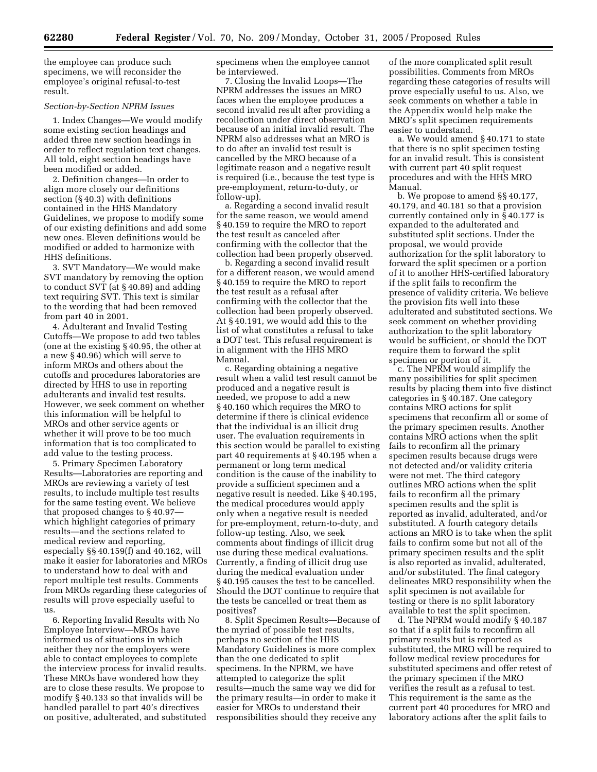the employee can produce such specimens, we will reconsider the employee's original refusal-to-test result.

# *Section-by-Section NPRM Issues*

1. Index Changes—We would modify some existing section headings and added three new section headings in order to reflect regulation text changes. All told, eight section headings have been modified or added.

2. Definition changes—In order to align more closely our definitions section (§ 40.3) with definitions contained in the HHS Mandatory Guidelines, we propose to modify some of our existing definitions and add some new ones. Eleven definitions would be modified or added to harmonize with HHS definitions.

3. SVT Mandatory—We would make SVT mandatory by removing the option to conduct SVT (at § 40.89) and adding text requiring SVT. This text is similar to the wording that had been removed from part 40 in 2001.

4. Adulterant and Invalid Testing Cutoffs—We propose to add two tables (one at the existing § 40.95, the other at a new § 40.96) which will serve to inform MROs and others about the cutoffs and procedures laboratories are directed by HHS to use in reporting adulterants and invalid test results. However, we seek comment on whether this information will be helpful to MROs and other service agents or whether it will prove to be too much information that is too complicated to add value to the testing process.

5. Primary Specimen Laboratory Results—Laboratories are reporting and MROs are reviewing a variety of test results, to include multiple test results for the same testing event. We believe that proposed changes to § 40.97 which highlight categories of primary results—and the sections related to medical review and reporting, especially §§ 40.159(f) and 40.162, will make it easier for laboratories and MROs to understand how to deal with and report multiple test results. Comments from MROs regarding these categories of results will prove especially useful to us.

6. Reporting Invalid Results with No Employee Interview—MROs have informed us of situations in which neither they nor the employers were able to contact employees to complete the interview process for invalid results. These MROs have wondered how they are to close these results. We propose to modify § 40.133 so that invalids will be handled parallel to part 40's directives on positive, adulterated, and substituted specimens when the employee cannot be interviewed.

7. Closing the Invalid Loops—The NPRM addresses the issues an MRO faces when the employee produces a second invalid result after providing a recollection under direct observation because of an initial invalid result. The NPRM also addresses what an MRO is to do after an invalid test result is cancelled by the MRO because of a legitimate reason and a negative result is required (i.e., because the test type is pre-employment, return-to-duty, or follow-up).

a. Regarding a second invalid result for the same reason, we would amend § 40.159 to require the MRO to report the test result as canceled after confirming with the collector that the collection had been properly observed.

b. Regarding a second invalid result for a different reason, we would amend § 40.159 to require the MRO to report the test result as a refusal after confirming with the collector that the collection had been properly observed. At § 40.191, we would add this to the list of what constitutes a refusal to take a DOT test. This refusal requirement is in alignment with the HHS MRO Manual.

c. Regarding obtaining a negative result when a valid test result cannot be produced and a negative result is needed, we propose to add a new § 40.160 which requires the MRO to determine if there is clinical evidence that the individual is an illicit drug user. The evaluation requirements in this section would be parallel to existing part 40 requirements at § 40.195 when a permanent or long term medical condition is the cause of the inability to provide a sufficient specimen and a negative result is needed. Like § 40.195, the medical procedures would apply only when a negative result is needed for pre-employment, return-to-duty, and follow-up testing. Also, we seek comments about findings of illicit drug use during these medical evaluations. Currently, a finding of illicit drug use during the medical evaluation under § 40.195 causes the test to be cancelled. Should the DOT continue to require that the tests be cancelled or treat them as positives?

8. Split Specimen Results—Because of the myriad of possible test results, perhaps no section of the HHS Mandatory Guidelines is more complex than the one dedicated to split specimens. In the NPRM, we have attempted to categorize the split results—much the same way we did for the primary results—in order to make it easier for MROs to understand their responsibilities should they receive any

of the more complicated split result possibilities. Comments from MROs regarding these categories of results will prove especially useful to us. Also, we seek comments on whether a table in the Appendix would help make the MRO's split specimen requirements easier to understand.

a. We would amend § 40.171 to state that there is no split specimen testing for an invalid result. This is consistent with current part 40 split request procedures and with the HHS MRO Manual.

b. We propose to amend §§ 40.177, 40.179, and 40.181 so that a provision currently contained only in § 40.177 is expanded to the adulterated and substituted split sections. Under the proposal, we would provide authorization for the split laboratory to forward the split specimen or a portion of it to another HHS-certified laboratory if the split fails to reconfirm the presence of validity criteria. We believe the provision fits well into these adulterated and substituted sections. We seek comment on whether providing authorization to the split laboratory would be sufficient, or should the DOT require them to forward the split specimen or portion of it.

c. The NPRM would simplify the many possibilities for split specimen results by placing them into five distinct categories in § 40.187. One category contains MRO actions for split specimens that reconfirm all or some of the primary specimen results. Another contains MRO actions when the split fails to reconfirm all the primary specimen results because drugs were not detected and/or validity criteria were not met. The third category outlines MRO actions when the split fails to reconfirm all the primary specimen results and the split is reported as invalid, adulterated, and/or substituted. A fourth category details actions an MRO is to take when the split fails to confirm some but not all of the primary specimen results and the split is also reported as invalid, adulterated, and/or substituted. The final category delineates MRO responsibility when the split specimen is not available for testing or there is no split laboratory available to test the split specimen.

d. The NPRM would modify § 40.187 so that if a split fails to reconfirm all primary results but is reported as substituted, the MRO will be required to follow medical review procedures for substituted specimens and offer retest of the primary specimen if the MRO verifies the result as a refusal to test. This requirement is the same as the current part 40 procedures for MRO and laboratory actions after the split fails to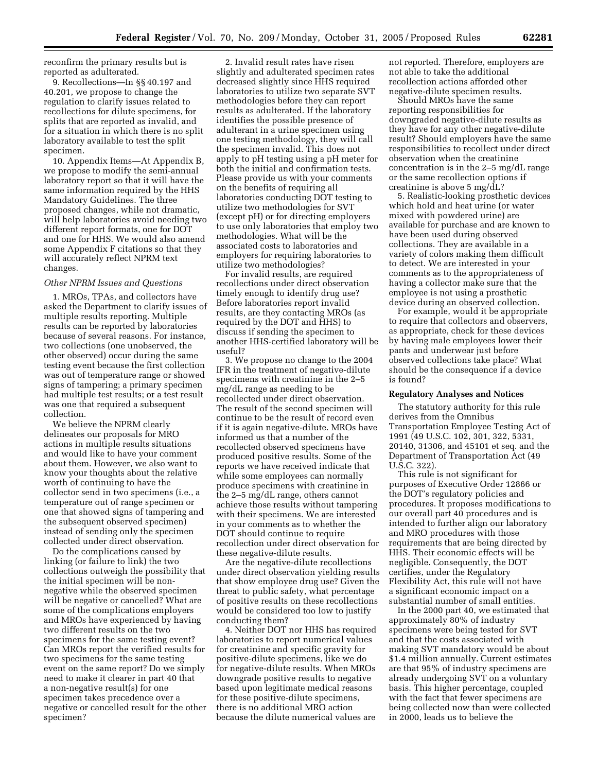reconfirm the primary results but is reported as adulterated.

9. Recollections—In §§ 40.197 and 40.201, we propose to change the regulation to clarify issues related to recollections for dilute specimens, for splits that are reported as invalid, and for a situation in which there is no split laboratory available to test the split specimen.

10. Appendix Items—At Appendix B, we propose to modify the semi-annual laboratory report so that it will have the same information required by the HHS Mandatory Guidelines. The three proposed changes, while not dramatic, will help laboratories avoid needing two different report formats, one for DOT and one for HHS. We would also amend some Appendix F citations so that they will accurately reflect NPRM text changes.

# *Other NPRM Issues and Questions*

1. MROs, TPAs, and collectors have asked the Department to clarify issues of multiple results reporting. Multiple results can be reported by laboratories because of several reasons. For instance, two collections (one unobserved, the other observed) occur during the same testing event because the first collection was out of temperature range or showed signs of tampering; a primary specimen had multiple test results; or a test result was one that required a subsequent collection.

We believe the NPRM clearly delineates our proposals for MRO actions in multiple results situations and would like to have your comment about them. However, we also want to know your thoughts about the relative worth of continuing to have the collector send in two specimens (i.e., a temperature out of range specimen or one that showed signs of tampering and the subsequent observed specimen) instead of sending only the specimen collected under direct observation.

Do the complications caused by linking (or failure to link) the two collections outweigh the possibility that the initial specimen will be nonnegative while the observed specimen will be negative or cancelled? What are some of the complications employers and MROs have experienced by having two different results on the two specimens for the same testing event? Can MROs report the verified results for two specimens for the same testing event on the same report? Do we simply need to make it clearer in part 40 that a non-negative result(s) for one specimen takes precedence over a negative or cancelled result for the other specimen?

2. Invalid result rates have risen slightly and adulterated specimen rates decreased slightly since HHS required laboratories to utilize two separate SVT methodologies before they can report results as adulterated. If the laboratory identifies the possible presence of adulterant in a urine specimen using one testing methodology, they will call the specimen invalid. This does not apply to pH testing using a pH meter for both the initial and confirmation tests. Please provide us with your comments on the benefits of requiring all laboratories conducting DOT testing to utilize two methodologies for SVT (except pH) or for directing employers to use only laboratories that employ two methodologies. What will be the associated costs to laboratories and employers for requiring laboratories to utilize two methodologies?

For invalid results, are required recollections under direct observation timely enough to identify drug use? Before laboratories report invalid results, are they contacting MROs (as required by the DOT and HHS) to discuss if sending the specimen to another HHS-certified laboratory will be useful?

3. We propose no change to the 2004 IFR in the treatment of negative-dilute specimens with creatinine in the 2–5 mg/dL range as needing to be recollected under direct observation. The result of the second specimen will continue to be the result of record even if it is again negative-dilute. MROs have informed us that a number of the recollected observed specimens have produced positive results. Some of the reports we have received indicate that while some employees can normally produce specimens with creatinine in the 2–5 mg/dL range, others cannot achieve those results without tampering with their specimens. We are interested in your comments as to whether the DOT should continue to require recollection under direct observation for these negative-dilute results.

Are the negative-dilute recollections under direct observation yielding results that show employee drug use? Given the threat to public safety, what percentage of positive results on these recollections would be considered too low to justify conducting them?

4. Neither DOT nor HHS has required laboratories to report numerical values for creatinine and specific gravity for positive-dilute specimens, like we do for negative-dilute results. When MROs downgrade positive results to negative based upon legitimate medical reasons for these positive-dilute specimens, there is no additional MRO action because the dilute numerical values are

not reported. Therefore, employers are not able to take the additional recollection actions afforded other negative-dilute specimen results.

Should MROs have the same reporting responsibilities for downgraded negative-dilute results as they have for any other negative-dilute result? Should employers have the same responsibilities to recollect under direct observation when the creatinine concentration is in the 2–5 mg/dL range or the same recollection options if creatinine is above 5 mg/dL?

5. Realistic-looking prosthetic devices which hold and heat urine (or water mixed with powdered urine) are available for purchase and are known to have been used during observed collections. They are available in a variety of colors making them difficult to detect. We are interested in your comments as to the appropriateness of having a collector make sure that the employee is not using a prosthetic device during an observed collection.

For example, would it be appropriate to require that collectors and observers, as appropriate, check for these devices by having male employees lower their pants and underwear just before observed collections take place? What should be the consequence if a device is found?

#### **Regulatory Analyses and Notices**

The statutory authority for this rule derives from the Omnibus Transportation Employee Testing Act of 1991 (49 U.S.C. 102, 301, 322, 5331, 20140, 31306, and 45101 et seq. and the Department of Transportation Act (49 U.S.C. 322).

This rule is not significant for purposes of Executive Order 12866 or the DOT's regulatory policies and procedures. It proposes modifications to our overall part 40 procedures and is intended to further align our laboratory and MRO procedures with those requirements that are being directed by HHS. Their economic effects will be negligible. Consequently, the DOT certifies, under the Regulatory Flexibility Act, this rule will not have a significant economic impact on a substantial number of small entities.

In the 2000 part 40, we estimated that approximately 80% of industry specimens were being tested for SVT and that the costs associated with making SVT mandatory would be about \$1.4 million annually. Current estimates are that 95% of industry specimens are already undergoing SVT on a voluntary basis. This higher percentage, coupled with the fact that fewer specimens are being collected now than were collected in 2000, leads us to believe the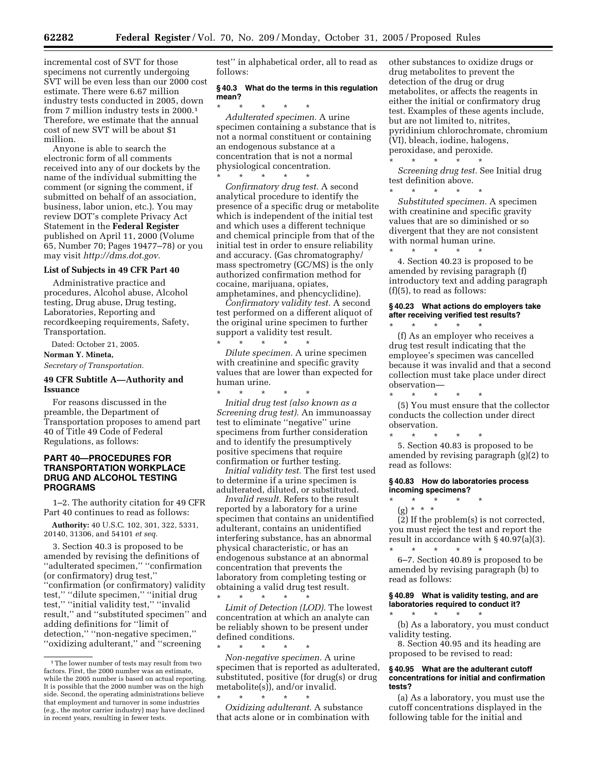incremental cost of SVT for those specimens not currently undergoing SVT will be even less than our 2000 cost estimate. There were 6.67 million industry tests conducted in 2005, down from 7 million industry tests in 2000.1 Therefore, we estimate that the annual cost of new SVT will be about \$1 million.

Anyone is able to search the electronic form of all comments received into any of our dockets by the name of the individual submitting the comment (or signing the comment, if submitted on behalf of an association, business, labor union, etc.). You may review DOT's complete Privacy Act Statement in the **Federal Register**  published on April 11, 2000 (Volume 65, Number 70; Pages 19477–78) or you may visit *http://dms.dot.gov.* 

## **List of Subjects in 49 CFR Part 40**

Administrative practice and procedures, Alcohol abuse, Alcohol testing, Drug abuse, Drug testing, Laboratories, Reporting and recordkeeping requirements, Safety, Transportation.

Dated: October 21, 2005. **Norman Y. Mineta,** 

*Secretary of Transportation.* 

# **49 CFR Subtitle A—Authority and Issuance**

For reasons discussed in the preamble, the Department of Transportation proposes to amend part 40 of Title 49 Code of Federal Regulations, as follows:

# **PART 40—PROCEDURES FOR TRANSPORTATION WORKPLACE DRUG AND ALCOHOL TESTING PROGRAMS**

1–2. The authority citation for 49 CFR Part 40 continues to read as follows:

**Authority:** 40 U.S.C. 102, 301, 322, 5331, 20140, 31306, and 54101 *et seq.* 

3. Section 40.3 is proposed to be amended by revising the definitions of ''adulterated specimen,'' ''confirmation (or confirmatory) drug test,'' ''confirmation (or confirmatory) validity test,'' ''dilute specimen,'' ''initial drug test,'' ''initial validity test,'' ''invalid result,'' and ''substituted specimen'' and adding definitions for ''limit of detection,'' ''non-negative specimen,'' ''oxidizing adulterant,'' and ''screening

test'' in alphabetical order, all to read as follows:

# **§ 40.3 What do the terms in this regulation mean?**

\* \* \* \* \* *Adulterated specimen.* A urine specimen containing a substance that is not a normal constituent or containing an endogenous substance at a concentration that is not a normal physiological concentration. \* \* \* \* \*

*Confirmatory drug test.* A second analytical procedure to identify the presence of a specific drug or metabolite which is independent of the initial test and which uses a different technique and chemical principle from that of the initial test in order to ensure reliability and accuracy. (Gas chromatography/ mass spectrometry (GC/MS) is the only authorized confirmation method for cocaine, marijuana, opiates, amphetamines, and phencyclidine).

*Confirmatory validity test.* A second test performed on a different aliquot of the original urine specimen to further support a validity test result.

\* \* \* \* \* *Dilute specimen.* A urine specimen with creatinine and specific gravity values that are lower than expected for human urine.

\* \* \* \* \* *Initial drug test (also known as a Screening drug test).* An immunoassay test to eliminate ''negative'' urine specimens from further consideration and to identify the presumptively positive specimens that require confirmation or further testing.

*Initial validity test.* The first test used to determine if a urine specimen is adulterated, diluted, or substituted.

*Invalid result.* Refers to the result reported by a laboratory for a urine specimen that contains an unidentified adulterant, contains an unidentified interfering substance, has an abnormal physical characteristic, or has an endogenous substance at an abnormal concentration that prevents the laboratory from completing testing or obtaining a valid drug test result. \* \* \* \* \*

*Limit of Detection (LOD).* The lowest concentration at which an analyte can be reliably shown to be present under defined conditions.

\* \* \* \* \* *Non-negative specimen.* A urine specimen that is reported as adulterated, substituted, positive (for drug(s) or drug metabolite(s)), and/or invalid.

\* \* \* \* \* *Oxidizing adulterant.* A substance that acts alone or in combination with other substances to oxidize drugs or drug metabolites to prevent the detection of the drug or drug metabolites, or affects the reagents in either the initial or confirmatory drug test. Examples of these agents include, but are not limited to, nitrites, pyridinium chlorochromate, chromium (VI), bleach, iodine, halogens, peroxidase, and peroxide. \* \* \* \* \*

*Screening drug test.* See Initial drug test definition above. \* \* \* \* \*

*Substituted specimen.* A specimen with creatinine and specific gravity values that are so diminished or so divergent that they are not consistent with normal human urine. \* \* \* \* \*

4. Section 40.23 is proposed to be amended by revising paragraph (f) introductory text and adding paragraph (f)(5), to read as follows:

## **§ 40.23 What actions do employers take after receiving verified test results?**  \* \* \* \* \*

(f) As an employer who receives a drug test result indicating that the employee's specimen was cancelled because it was invalid and that a second collection must take place under direct observation—

(5) You must ensure that the collector conducts the collection under direct observation.

\* \* \* \* \* 5. Section 40.83 is proposed to be amended by revising paragraph (g)(2) to read as follows:

# **§ 40.83 How do laboratories process incoming specimens?**

\* \* \* \* \*

\* \* \* \* \*

(g) \* \* \* (2) If the problem(s) is not corrected, you must reject the test and report the result in accordance with § 40.97(a)(3). \* \* \* \* \*

6–7. Section 40.89 is proposed to be amended by revising paragraph (b) to read as follows:

# **§ 40.89 What is validity testing, and are laboratories required to conduct it?**

\* \* \* \* \* (b) As a laboratory, you must conduct validity testing.

8. Section 40.95 and its heading are proposed to be revised to read:

## **§ 40.95 What are the adulterant cutoff concentrations for initial and confirmation tests?**

(a) As a laboratory, you must use the cutoff concentrations displayed in the following table for the initial and

<sup>1</sup>The lower number of tests may result from two factors. First, the 2000 number was an estimate, while the 2005 number is based on actual reporting. It is possible that the 2000 number was on the high side. Second, the operating administrations believe that employment and turnover in some industries (e.g., the motor carrier industry) may have declined in recent years, resulting in fewer tests.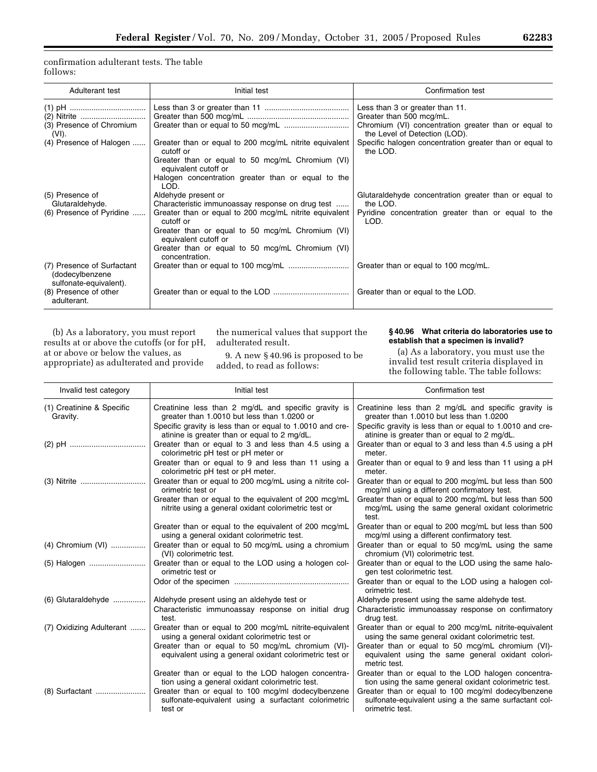# confirmation adulterant tests. The table follows:

| Adulterant test                                                                                                 | Initial test                                                                                                                                                                                                  | Confirmation test                                                                                                                                    |
|-----------------------------------------------------------------------------------------------------------------|---------------------------------------------------------------------------------------------------------------------------------------------------------------------------------------------------------------|------------------------------------------------------------------------------------------------------------------------------------------------------|
| (2) Nitrite<br>(3) Presence of Chromium<br>$(VI)$ .                                                             |                                                                                                                                                                                                               | Less than 3 or greater than 11.<br>Greater than 500 mcg/mL.<br>Chromium (VI) concentration greater than or equal to<br>the Level of Detection (LOD). |
| (4) Presence of Halogen                                                                                         | Greater than or equal to 200 mcg/mL nitrite equivalent<br>cutoff or<br>Greater than or equal to 50 mcg/mL Chromium (VI)<br>equivalent cutoff or<br>Halogen concentration greater than or equal to the<br>LOD. | Specific halogen concentration greater than or equal to<br>the LOD.                                                                                  |
| (5) Presence of<br>Glutaraldehyde.<br>(6) Presence of Pyridine                                                  | Aldehyde present or<br>Characteristic immunoassay response on drug test<br>Greater than or equal to 200 mcg/mL nitrite equivalent<br>cutoff or<br>Greater than or equal to 50 mcg/mL Chromium (VI)            | Glutaraldehyde concentration greater than or equal to<br>the LOD.<br>Pyridine concentration greater than or equal to the<br>LOD.                     |
|                                                                                                                 | equivalent cutoff or<br>Greater than or equal to 50 mcg/mL Chromium (VI)<br>concentration.                                                                                                                    |                                                                                                                                                      |
| (7) Presence of Surfactant<br>(dodecylbenzene<br>sulfonate-equivalent).<br>(8) Presence of other<br>adulterant. |                                                                                                                                                                                                               | Greater than or equal to 100 mcg/mL.<br>Greater than or equal to the LOD.                                                                            |

(b) As a laboratory, you must report results at or above the cutoffs (or for pH, at or above or below the values, as appropriate) as adulterated and provide

the numerical values that support the adulterated result.

9. A new § 40.96 is proposed to be added, to read as follows:

## **§ 40.96 What criteria do laboratories use to establish that a specimen is invalid?**

(a) As a laboratory, you must use the invalid test result criteria displayed in the following table. The table follows:

| Invalid test category                 | Initial test                                                                                                          | Confirmation test                                                                                                              |
|---------------------------------------|-----------------------------------------------------------------------------------------------------------------------|--------------------------------------------------------------------------------------------------------------------------------|
| (1) Creatinine & Specific<br>Gravity. | Creatinine less than 2 mg/dL and specific gravity is<br>greater than 1.0010 but less than 1.0200 or                   | Creatinine less than 2 mg/dL and specific gravity is<br>greater than 1.0010 but less than 1.0200                               |
|                                       | Specific gravity is less than or equal to 1.0010 and cre-<br>atinine is greater than or equal to 2 mg/dL.             | Specific gravity is less than or equal to 1.0010 and cre-<br>atinine is greater than or equal to 2 mg/dL.                      |
|                                       | Greater than or equal to 3 and less than 4.5 using a<br>colorimetric pH test or pH meter or                           | Greater than or equal to 3 and less than 4.5 using a pH<br>meter.                                                              |
|                                       | Greater than or equal to 9 and less than 11 using a<br>colorimetric pH test or pH meter.                              | Greater than or equal to 9 and less than 11 using a pH<br>meter.                                                               |
|                                       | Greater than or equal to 200 mcg/mL using a nitrite col-<br>orimetric test or                                         | Greater than or equal to 200 mcg/mL but less than 500<br>mcg/ml using a different confirmatory test.                           |
|                                       | Greater than or equal to the equivalent of 200 mcg/mL<br>nitrite using a general oxidant colorimetric test or         | Greater than or equal to 200 mcg/mL but less than 500<br>mcg/mL using the same general oxidant colorimetric<br>test.           |
|                                       | Greater than or equal to the equivalent of 200 mcg/mL<br>using a general oxidant colorimetric test.                   | Greater than or equal to 200 mcg/mL but less than 500<br>mcg/ml using a different confirmatory test.                           |
| (4) Chromium (VI)                     | Greater than or equal to 50 mcg/mL using a chromium<br>(VI) colorimetric test.                                        | Greater than or equal to 50 mcg/mL using the same<br>chromium (VI) colorimetric test.                                          |
| (5) Halogen                           | Greater than or equal to the LOD using a hologen col-<br>orimetric test or                                            | Greater than or equal to the LOD using the same halo-<br>gen test colorimetric test.                                           |
|                                       |                                                                                                                       | Greater than or equal to the LOD using a halogen col-<br>orimetric test.                                                       |
| (6) Glutaraldehyde                    | Aldehyde present using an aldehyde test or                                                                            | Aldehyde present using the same aldehyde test.                                                                                 |
|                                       | Characteristic immunoassay response on initial drug<br>test.                                                          | Characteristic immunoassay response on confirmatory<br>drug test.                                                              |
| (7) Oxidizing Adulterant              | Greater than or equal to 200 mcg/mL nitrite-equivalent<br>using a general oxidant colorimetric test or                | Greater than or equal to 200 mcg/mL nitrite-equivalent<br>using the same general oxidant colorimetric test.                    |
|                                       | Greater than or equal to 50 mcg/mL chromium (VI)-<br>equivalent using a general oxidant colorimetric test or          | Greater than or equal to 50 mcg/mL chromium (VI)-<br>equivalent using the same general oxidant colori-<br>metric test.         |
|                                       | Greater than or equal to the LOD halogen concentra-<br>tion using a general oxidant colorimetric test.                | Greater than or equal to the LOD halogen concentra-<br>tion using the same general oxidant colorimetric test.                  |
| (8) Surfactant                        | Greater than or equal to 100 mcg/ml dodecylbenzene<br>sulfonate-equivalent using a surfactant colorimetric<br>test or | Greater than or equal to 100 mcq/ml dodecylbenzene<br>sulfonate-equivalent using a the same surfactant col-<br>orimetric test. |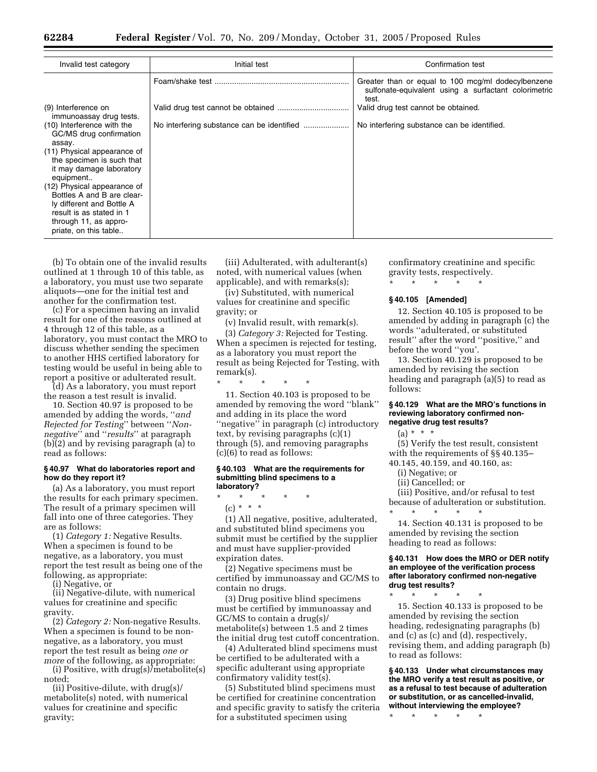| Invalid test category                                                                                                                                                                                                                                                                                                                        | Initial test | Confirmation test                                                                                                   |
|----------------------------------------------------------------------------------------------------------------------------------------------------------------------------------------------------------------------------------------------------------------------------------------------------------------------------------------------|--------------|---------------------------------------------------------------------------------------------------------------------|
|                                                                                                                                                                                                                                                                                                                                              |              | Greater than or equal to 100 mcg/ml dodecylbenzene<br>sulfonate-equivalent using a surfactant colorimetric<br>test. |
| (9) Interference on<br>immunoassay drug tests.                                                                                                                                                                                                                                                                                               |              | Valid drug test cannot be obtained.                                                                                 |
| (10) Interference with the<br>GC/MS drug confirmation<br>assay.<br>(11) Physical appearance of<br>the specimen is such that<br>it may damage laboratory<br>equipment<br>(12) Physical appearance of<br>Bottles A and B are clear-<br>Iy different and Bottle A<br>result is as stated in 1<br>through 11, as appro-<br>priate, on this table |              | No interfering substance can be identified.                                                                         |

(b) To obtain one of the invalid results outlined at 1 through 10 of this table, as a laboratory, you must use two separate aliquots—one for the initial test and another for the confirmation test.

(c) For a specimen having an invalid result for one of the reasons outlined at 4 through 12 of this table, as a laboratory, you must contact the MRO to discuss whether sending the specimen to another HHS certified laboratory for testing would be useful in being able to report a positive or adulterated result.

(d) As a laboratory, you must report the reason a test result is invalid.

10. Section 40.97 is proposed to be amended by adding the words, ''*and Rejected for Testing*'' between ''*Nonnegative*'' and ''*results*'' at paragraph (b)(2) and by revising paragraph (a) to read as follows:

### **§ 40.97 What do laboratories report and how do they report it?**

(a) As a laboratory, you must report the results for each primary specimen. The result of a primary specimen will fall into one of three categories. They are as follows:

(1) *Category 1:* Negative Results. When a specimen is found to be negative, as a laboratory, you must report the test result as being one of the following, as appropriate:

(i) Negative, or

(ii) Negative-dilute, with numerical values for creatinine and specific gravity.

(2) *Category 2:* Non-negative Results. When a specimen is found to be nonnegative, as a laboratory, you must report the test result as being *one or more* of the following, as appropriate:

(i) Positive, with drug(s)/metabolite(s) noted;

(ii) Positive-dilute, with drug(s)/ metabolite(s) noted, with numerical values for creatinine and specific gravity;

(iii) Adulterated, with adulterant(s) noted, with numerical values (when applicable), and with remarks(s);

(iv) Substituted, with numerical values for creatinine and specific gravity; or

(v) Invalid result, with remark(s).

(3) *Category 3:* Rejected for Testing. When a specimen is rejected for testing, as a laboratory you must report the result as being Rejected for Testing, with remark(s).

\* \* \* \* \*

11. Section 40.103 is proposed to be amended by removing the word ''blank'' and adding in its place the word ''negative'' in paragraph (c) introductory text, by revising paragraphs (c)(1) through (5), and removing paragraphs (c)(6) to read as follows:

#### **§ 40.103 What are the requirements for submitting blind specimens to a laboratory?**

\* \* \* \* \*

(c) \* \* \*

(1) All negative, positive, adulterated, and substituted blind specimens you submit must be certified by the supplier and must have supplier-provided expiration dates.

(2) Negative specimens must be certified by immunoassay and GC/MS to contain no drugs.

(3) Drug positive blind specimens must be certified by immunoassay and GC/MS to contain a drug(s)/ metabolite(s) between 1.5 and 2 times the initial drug test cutoff concentration.

(4) Adulterated blind specimens must be certified to be adulterated with a specific adulterant using appropriate confirmatory validity test(s).

(5) Substituted blind specimens must be certified for creatinine concentration and specific gravity to satisfy the criteria for a substituted specimen using

confirmatory creatinine and specific gravity tests, respectively.

#### **§ 40.105 [Amended]**

\* \* \* \* \*

12. Section 40.105 is proposed to be amended by adding in paragraph (c) the words ''adulterated, or substituted result'' after the word ''positive,'' and before the word ''you'.

13. Section 40.129 is proposed to be amended by revising the section heading and paragraph (a)(5) to read as follows:

### **§ 40.129 What are the MRO's functions in reviewing laboratory confirmed nonnegative drug test results?**

 $(a) * * * *$ 

(5) Verify the test result, consistent with the requirements of §§ 40.135– 40.145, 40.159, and 40.160, as:

- (i) Negative; or
- (ii) Cancelled; or

(iii) Positive, and/or refusal to test because of adulteration or substitution.

\* \* \* \* \* 14. Section 40.131 is proposed to be amended by revising the section heading to read as follows:

## **§ 40.131 How does the MRO or DER notify an employee of the verification process after laboratory confirmed non-negative drug test results?**

\* \* \* \* \*

15. Section 40.133 is proposed to be amended by revising the section heading, redesignating paragraphs (b) and (c) as (c) and (d), respectively, revising them, and adding paragraph (b) to read as follows:

**§ 40.133 Under what circumstances may the MRO verify a test result as positive, or as a refusal to test because of adulteration or substitution, or as cancelled-invalid, without interviewing the employee?** 

\* \* \* \* \*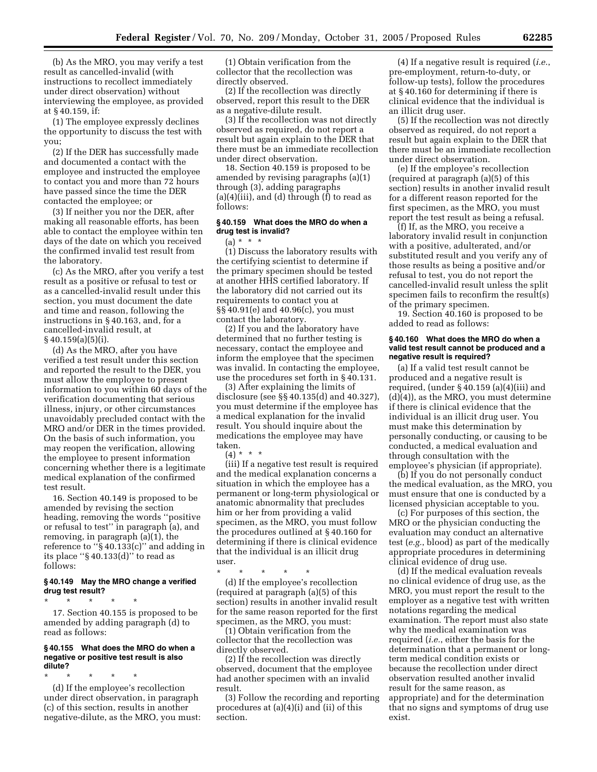(b) As the MRO, you may verify a test result as cancelled-invalid (with instructions to recollect immediately under direct observation) without interviewing the employee, as provided at § 40.159, if:

(1) The employee expressly declines the opportunity to discuss the test with you;

(2) If the DER has successfully made and documented a contact with the employee and instructed the employee to contact you and more than 72 hours have passed since the time the DER contacted the employee; or

(3) If neither you nor the DER, after making all reasonable efforts, has been able to contact the employee within ten days of the date on which you received the confirmed invalid test result from the laboratory.

(c) As the MRO, after you verify a test result as a positive or refusal to test or as a cancelled-invalid result under this section, you must document the date and time and reason, following the instructions in § 40.163, and, for a cancelled-invalid result, at § 40.159(a)(5)(i).

(d) As the MRO, after you have verified a test result under this section and reported the result to the DER, you must allow the employee to present information to you within 60 days of the verification documenting that serious illness, injury, or other circumstances unavoidably precluded contact with the MRO and/or DER in the times provided. On the basis of such information, you may reopen the verification, allowing the employee to present information concerning whether there is a legitimate medical explanation of the confirmed test result.

16. Section 40.149 is proposed to be amended by revising the section heading, removing the words ''positive or refusal to test'' in paragraph (a), and removing, in paragraph (a)(1), the reference to ''§ 40.133(c)'' and adding in its place ''§ 40.133(d)'' to read as follows:

## **§ 40.149 May the MRO change a verified drug test result?**

17. Section 40.155 is proposed to be amended by adding paragraph (d) to read as follows:

## **§ 40.155 What does the MRO do when a negative or positive test result is also dilute?**

\* \* \* \* \*

\* \* \* \* \*

(d) If the employee's recollection under direct observation, in paragraph (c) of this section, results in another negative-dilute, as the MRO, you must:

(1) Obtain verification from the collector that the recollection was directly observed.

(2) If the recollection was directly observed, report this result to the DER as a negative-dilute result.

(3) If the recollection was not directly observed as required, do not report a result but again explain to the DER that there must be an immediate recollection under direct observation.

18. Section 40.159 is proposed to be amended by revising paragraphs (a)(1) through (3), adding paragraphs (a)(4)(iii), and (d) through (f) to read as follows:

## **§ 40.159 What does the MRO do when a drug test is invalid?**

 $(a) * * * *$ 

(1) Discuss the laboratory results with the certifying scientist to determine if the primary specimen should be tested at another HHS certified laboratory. If the laboratory did not carried out its requirements to contact you at §§ 40.91(e) and 40.96(c), you must contact the laboratory.

(2) If you and the laboratory have determined that no further testing is necessary, contact the employee and inform the employee that the specimen was invalid. In contacting the employee, use the procedures set forth in § 40.131.

(3) After explaining the limits of disclosure (see §§ 40.135(d) and 40.327), you must determine if the employee has a medical explanation for the invalid result. You should inquire about the medications the employee may have taken.

 $(4) * * * *$ 

(iii) If a negative test result is required and the medical explanation concerns a situation in which the employee has a permanent or long-term physiological or anatomic abnormality that precludes him or her from providing a valid specimen, as the MRO, you must follow the procedures outlined at § 40.160 for determining if there is clinical evidence that the individual is an illicit drug user.

\* \* \* \* \*

(d) If the employee's recollection (required at paragraph (a)(5) of this section) results in another invalid result for the same reason reported for the first specimen, as the MRO, you must:

(1) Obtain verification from the collector that the recollection was directly observed.

(2) If the recollection was directly observed, document that the employee had another specimen with an invalid result.

(3) Follow the recording and reporting procedures at (a)(4)(i) and (ii) of this section.

(4) If a negative result is required (*i.e.*, pre-employment, return-to-duty, or follow-up tests), follow the procedures at § 40.160 for determining if there is clinical evidence that the individual is an illicit drug user.

(5) If the recollection was not directly observed as required, do not report a result but again explain to the DER that there must be an immediate recollection under direct observation.

(e) If the employee's recollection (required at paragraph (a)(5) of this section) results in another invalid result for a different reason reported for the first specimen, as the MRO, you must report the test result as being a refusal.

(f) If, as the MRO, you receive a laboratory invalid result in conjunction with a positive, adulterated, and/or substituted result and you verify any of those results as being a positive and/or refusal to test, you do not report the cancelled-invalid result unless the split specimen fails to reconfirm the result(s) of the primary specimen.

19. Section 40.160 is proposed to be added to read as follows:

## **§ 40.160 What does the MRO do when a valid test result cannot be produced and a negative result is required?**

(a) If a valid test result cannot be produced and a negative result is required, (under § 40.159 (a)(4)(iii) and (d)(4)), as the MRO, you must determine if there is clinical evidence that the individual is an illicit drug user. You must make this determination by personally conducting, or causing to be conducted, a medical evaluation and through consultation with the employee's physician (if appropriate).

(b) If you do not personally conduct the medical evaluation, as the MRO, you must ensure that one is conducted by a licensed physician acceptable to you.

(c) For purposes of this section, the MRO or the physician conducting the evaluation may conduct an alternative test (*e.g.*, blood) as part of the medically appropriate procedures in determining clinical evidence of drug use.

(d) If the medical evaluation reveals no clinical evidence of drug use, as the MRO, you must report the result to the employer as a negative test with written notations regarding the medical examination. The report must also state why the medical examination was required (*i.e.*, either the basis for the determination that a permanent or longterm medical condition exists or because the recollection under direct observation resulted another invalid result for the same reason, as appropriate) and for the determination that no signs and symptoms of drug use exist.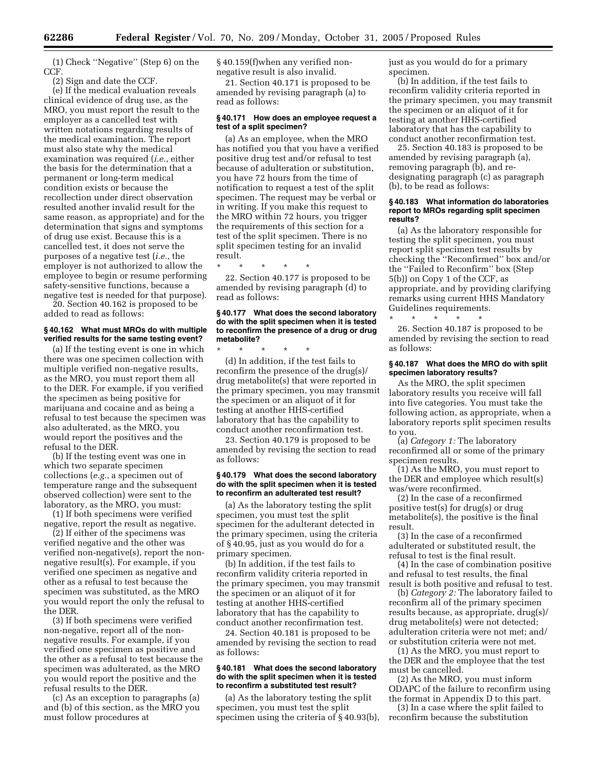(1) Check ''Negative'' (Step 6) on the CCF.

(2) Sign and date the CCF.

(e) If the medical evaluation reveals clinical evidence of drug use, as the MRO, you must report the result to the employer as a cancelled test with written notations regarding results of the medical examination. The report must also state why the medical examination was required (*i.e.*, either the basis for the determination that a permanent or long-term medical condition exists or because the recollection under direct observation resulted another invalid result for the same reason, as appropriate) and for the determination that signs and symptoms of drug use exist. Because this is a cancelled test, it does not serve the purposes of a negative test (*i.e.*, the employer is not authorized to allow the employee to begin or resume performing safety-sensitive functions, because a negative test is needed for that purpose).

20. Section 40.162 is proposed to be added to read as follows:

## **§ 40.162 What must MROs do with multiple verified results for the same testing event?**

(a) If the testing event is one in which there was one specimen collection with multiple verified non-negative results, as the MRO, you must report them all to the DER. For example, if you verified the specimen as being positive for marijuana and cocaine and as being a refusal to test because the specimen was also adulterated, as the MRO, you would report the positives and the refusal to the DER.

(b) If the testing event was one in which two separate specimen collections (*e.g.*, a specimen out of temperature range and the subsequent observed collection) were sent to the laboratory, as the MRO, you must:

(1) If both specimens were verified negative, report the result as negative.

(2) If either of the specimens was verified negative and the other was verified non-negative(s), report the nonnegative result(s). For example, if you verified one specimen as negative and other as a refusal to test because the specimen was substituted, as the MRO you would report the only the refusal to the DER.

(3) If both specimens were verified non-negative, report all of the nonnegative results. For example, if you verified one specimen as positive and the other as a refusal to test because the specimen was adulterated, as the MRO you would report the positive and the refusal results to the DER.

(c) As an exception to paragraphs (a) and (b) of this section, as the MRO you must follow procedures at

§ 40.159(f)when any verified nonnegative result is also invalid.

21. Section 40.171 is proposed to be amended by revising paragraph (a) to read as follows:

## **§ 40.171 How does an employee request a test of a split specimen?**

(a) As an employee, when the MRO has notified you that you have a verified positive drug test and/or refusal to test because of adulteration or substitution, you have 72 hours from the time of notification to request a test of the split specimen. The request may be verbal or in writing. If you make this request to the MRO within 72 hours, you trigger the requirements of this section for a test of the split specimen. There is no split specimen testing for an invalid result.

\* \* \* \* \*

22. Section 40.177 is proposed to be amended by revising paragraph (d) to read as follows:

#### **§ 40.177 What does the second laboratory do with the split specimen when it is tested to reconfirm the presence of a drug or drug metabolite?**

\* \* \* \* \* (d) In addition, if the test fails to reconfirm the presence of the drug(s)/ drug metabolite(s) that were reported in the primary specimen, you may transmit the specimen or an aliquot of it for testing at another HHS-certified laboratory that has the capability to conduct another reconfirmation test.

23. Section 40.179 is proposed to be amended by revising the section to read as follows:

### **§ 40.179 What does the second laboratory do with the split specimen when it is tested to reconfirm an adulterated test result?**

(a) As the laboratory testing the split specimen, you must test the split specimen for the adulterant detected in the primary specimen, using the criteria of § 40.95, just as you would do for a primary specimen.

(b) In addition, if the test fails to reconfirm validity criteria reported in the primary specimen, you may transmit the specimen or an aliquot of it for testing at another HHS-certified laboratory that has the capability to conduct another reconfirmation test.

24. Section 40.181 is proposed to be amended by revising the section to read as follows:

### **§ 40.181 What does the second laboratory do with the split specimen when it is tested to reconfirm a substituted test result?**

(a) As the laboratory testing the split specimen, you must test the split specimen using the criteria of § 40.93(b), just as you would do for a primary specimen.

(b) In addition, if the test fails to reconfirm validity criteria reported in the primary specimen, you may transmit the specimen or an aliquot of it for testing at another HHS-certified laboratory that has the capability to conduct another reconfirmation test.

25. Section 40.183 is proposed to be amended by revising paragraph (a), removing paragraph (b), and redesignating paragraph (c) as paragraph (b), to be read as follows:

#### **§ 40.183 What information do laboratories report to MROs regarding split specimen results?**

(a) As the laboratory responsible for testing the split specimen, you must report split specimen test results by checking the ''Reconfirmed'' box and/or the ''Failed to Reconfirm'' box (Step 5(b)) on Copy 1 of the CCF, as appropriate, and by providing clarifying remarks using current HHS Mandatory Guidelines requirements.

\* \* \* \* \* 26. Section 40.187 is proposed to be amended by revising the section to read as follows:

## **§ 40.187 What does the MRO do with split specimen laboratory results?**

As the MRO, the split specimen laboratory results you receive will fall into five categories. You must take the following action, as appropriate, when a laboratory reports split specimen results to you.

(a) *Category 1:* The laboratory reconfirmed all or some of the primary specimen results.

(1) As the MRO, you must report to the DER and employee which result(s) was/were reconfirmed.

(2) In the case of a reconfirmed positive test(s) for drug(s) or drug metabolite(s), the positive is the final result.

(3) In the case of a reconfirmed adulterated or substituted result, the refusal to test is the final result.

(4) In the case of combination positive and refusal to test results, the final result is both positive and refusal to test.

(b) *Category 2:* The laboratory failed to reconfirm all of the primary specimen results because, as appropriate, drug(s)/ drug metabolite(s) were not detected; adulteration criteria were not met; and/ or substitution criteria were not met.

(1) As the MRO, you must report to the DER and the employee that the test must be cancelled.

(2) As the MRO, you must inform ODAPC of the failure to reconfirm using the format in Appendix D to this part.

(3) In a case where the split failed to reconfirm because the substitution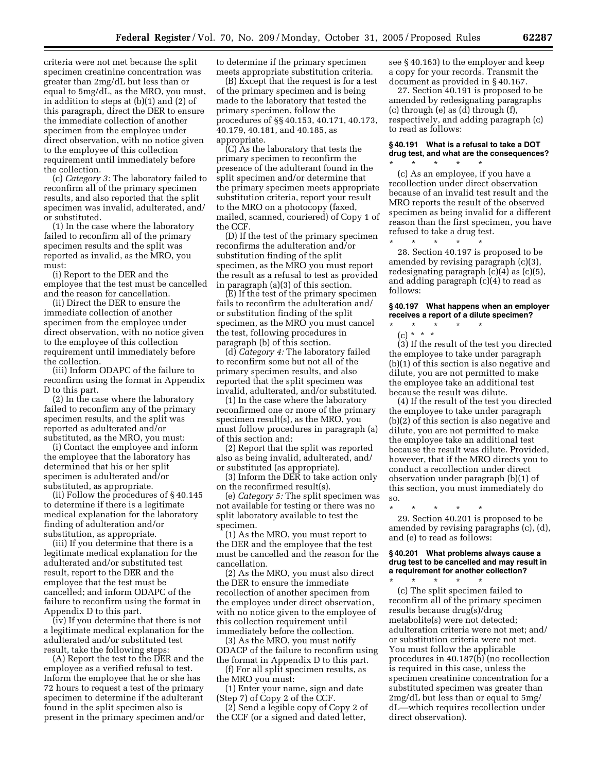criteria were not met because the split specimen creatinine concentration was greater than 2mg/dL but less than or equal to 5mg/dL, as the MRO, you must, in addition to steps at (b)(1) and (2) of this paragraph, direct the DER to ensure the immediate collection of another specimen from the employee under direct observation, with no notice given to the employee of this collection requirement until immediately before the collection.

(c) *Category 3:* The laboratory failed to reconfirm all of the primary specimen results, and also reported that the split specimen was invalid, adulterated, and/ or substituted.

(1) In the case where the laboratory failed to reconfirm all of the primary specimen results and the split was reported as invalid, as the MRO, you must:

(i) Report to the DER and the employee that the test must be cancelled and the reason for cancellation.

(ii) Direct the DER to ensure the immediate collection of another specimen from the employee under direct observation, with no notice given to the employee of this collection requirement until immediately before the collection.

(iii) Inform ODAPC of the failure to reconfirm using the format in Appendix D to this part.

(2) In the case where the laboratory failed to reconfirm any of the primary specimen results, and the split was reported as adulterated and/or substituted, as the MRO, you must:

(i) Contact the employee and inform the employee that the laboratory has determined that his or her split specimen is adulterated and/or substituted, as appropriate.

(ii) Follow the procedures of § 40.145 to determine if there is a legitimate medical explanation for the laboratory finding of adulteration and/or substitution, as appropriate.

(iii) If you determine that there is a legitimate medical explanation for the adulterated and/or substituted test result, report to the DER and the employee that the test must be cancelled; and inform ODAPC of the failure to reconfirm using the format in Appendix D to this part.

(iv) If you determine that there is not a legitimate medical explanation for the adulterated and/or substituted test result, take the following steps:

(A) Report the test to the DER and the employee as a verified refusal to test. Inform the employee that he or she has 72 hours to request a test of the primary specimen to determine if the adulterant found in the split specimen also is present in the primary specimen and/or to determine if the primary specimen meets appropriate substitution criteria.

(B) Except that the request is for a test of the primary specimen and is being made to the laboratory that tested the primary specimen, follow the procedures of §§ 40.153, 40.171, 40.173, 40.179, 40.181, and 40.185, as appropriate.

(C) As the laboratory that tests the primary specimen to reconfirm the presence of the adulterant found in the split specimen and/or determine that the primary specimen meets appropriate substitution criteria, report your result to the MRO on a photocopy (faxed, mailed, scanned, couriered) of Copy 1 of the CCF.

(D) If the test of the primary specimen reconfirms the adulteration and/or substitution finding of the split specimen, as the MRO you must report the result as a refusal to test as provided in paragraph (a)(3) of this section.

(E) If the test of the primary specimen fails to reconfirm the adulteration and/ or substitution finding of the split specimen, as the MRO you must cancel the test, following procedures in paragraph (b) of this section.

(d) *Category 4:* The laboratory failed to reconfirm some but not all of the primary specimen results, and also reported that the split specimen was invalid, adulterated, and/or substituted.

(1) In the case where the laboratory reconfirmed one or more of the primary specimen result(s), as the MRO, you must follow procedures in paragraph (a) of this section and:

(2) Report that the split was reported also as being invalid, adulterated, and/ or substituted (as appropriate).

(3) Inform the DER to take action only on the reconfirmed result(s).

(e) *Category 5:* The split specimen was not available for testing or there was no split laboratory available to test the specimen.

(1) As the MRO, you must report to the DER and the employee that the test must be cancelled and the reason for the cancellation.

(2) As the MRO, you must also direct the DER to ensure the immediate recollection of another specimen from the employee under direct observation, with no notice given to the employee of this collection requirement until immediately before the collection.

(3) As the MRO, you must notify ODACP of the failure to reconfirm using the format in Appendix D to this part.

(f) For all split specimen results, as the MRO you must:

(1) Enter your name, sign and date (Step 7) of Copy 2 of the CCF.

(2) Send a legible copy of Copy 2 of the CCF (or a signed and dated letter,

see § 40.163) to the employer and keep a copy for your records. Transmit the document as provided in § 40.167.

27. Section 40.191 is proposed to be amended by redesignating paragraphs (c) through (e) as (d) through (f), respectively, and adding paragraph (c) to read as follows:

# **§ 40.191 What is a refusal to take a DOT drug test, and what are the consequences?**

\* \* \* \* \*

(c) As an employee, if you have a recollection under direct observation because of an invalid test result and the MRO reports the result of the observed specimen as being invalid for a different reason than the first specimen, you have refused to take a drug test.

\* \* \* \* \* 28. Section 40.197 is proposed to be amended by revising paragraph (c)(3), redesignating paragraph (c)(4) as (c)(5), and adding paragraph (c)(4) to read as follows:

**§ 40.197 What happens when an employer receives a report of a dilute specimen?** 

\* \* \* \* \* (c) \* \* \*

(3) If the result of the test you directed the employee to take under paragraph (b)(1) of this section is also negative and dilute, you are not permitted to make the employee take an additional test because the result was dilute.

(4) If the result of the test you directed the employee to take under paragraph (b)(2) of this section is also negative and dilute, you are not permitted to make the employee take an additional test because the result was dilute. Provided, however, that if the MRO directs you to conduct a recollection under direct observation under paragraph (b)(1) of this section, you must immediately do so.

\* \* \* \* \*

29. Section 40.201 is proposed to be amended by revising paragraphs (c), (d), and (e) to read as follows:

### **§ 40.201 What problems always cause a drug test to be cancelled and may result in a requirement for another collection?**  \* \* \* \* \*

(c) The split specimen failed to reconfirm all of the primary specimen results because drug(s)/drug metabolite(s) were not detected; adulteration criteria were not met; and/ or substitution criteria were not met. You must follow the applicable procedures in 40.187(b) (no recollection is required in this case, unless the specimen creatinine concentration for a substituted specimen was greater than 2mg/dL but less than or equal to 5mg/ dL—which requires recollection under direct observation).